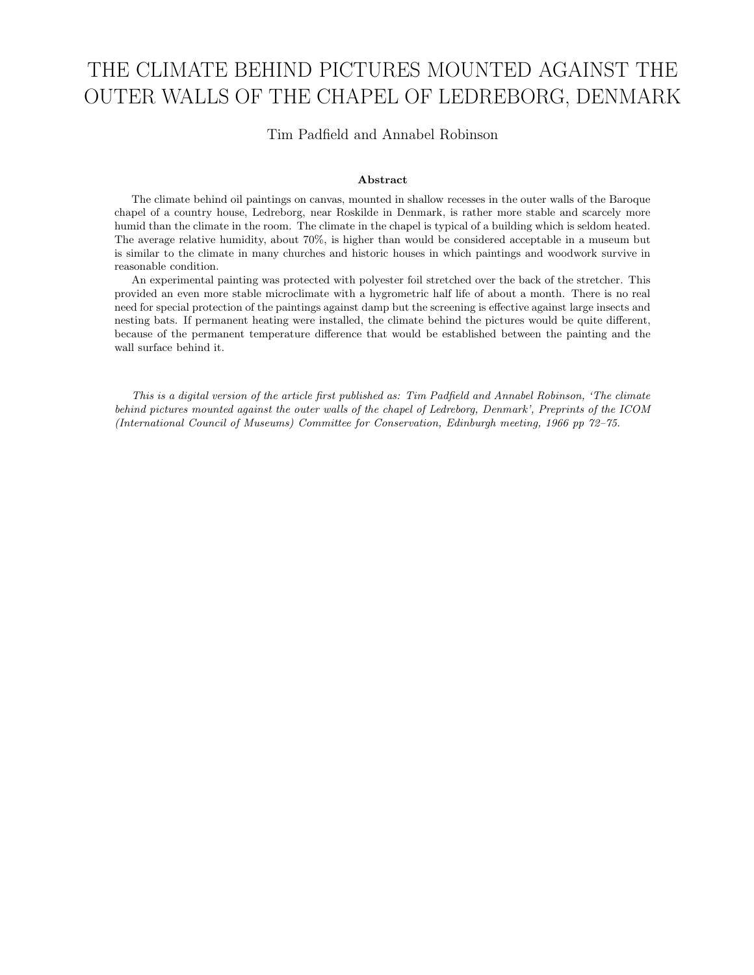# THE CLIMATE BEHIND PICTURES MOUNTED AGAINST THE OUTER WALLS OF THE CHAPEL OF LEDREBORG, DENMARK

Tim Padfield and Annabel Robinson

#### Abstract

The climate behind oil paintings on canvas, mounted in shallow recesses in the outer walls of the Baroque chapel of a country house, Ledreborg, near Roskilde in Denmark, is rather more stable and scarcely more humid than the climate in the room. The climate in the chapel is typical of a building which is seldom heated. The average relative humidity, about 70%, is higher than would be considered acceptable in a museum but is similar to the climate in many churches and historic houses in which paintings and woodwork survive in reasonable condition.

An experimental painting was protected with polyester foil stretched over the back of the stretcher. This provided an even more stable microclimate with a hygrometric half life of about a month. There is no real need for special protection of the paintings against damp but the screening is effective against large insects and nesting bats. If permanent heating were installed, the climate behind the pictures would be quite different, because of the permanent temperature difference that would be established between the painting and the wall surface behind it.

This is a digital version of the article first published as: Tim Padfield and Annabel Robinson, 'The climate behind pictures mounted against the outer walls of the chapel of Ledreborg, Denmark', Preprints of the ICOM (International Council of Museums) Committee for Conservation, Edinburgh meeting, 1966 pp 72–75.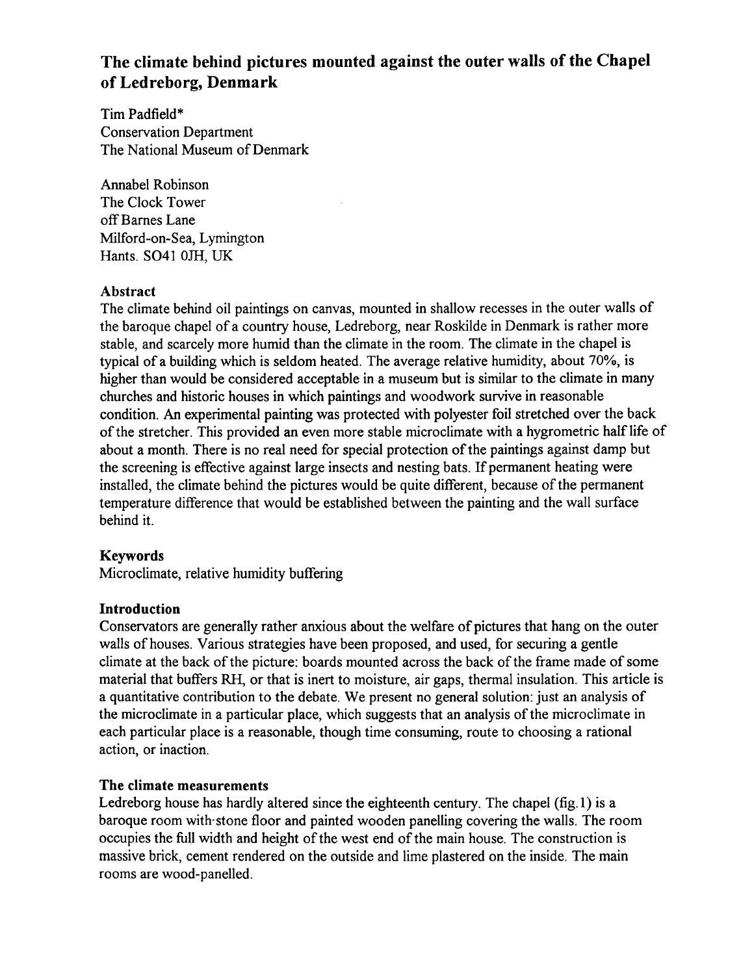## The climate behind pictures mounted against the outer walls of the Chapel of Ledreborg, Denmark

Tim Padfield\* **Conservation Department** The National Museum of Denmark

**Annabel Robinson** The Clock Tower off Barnes Lane Milford-on-Sea, Lymington Hants. SO41 0JH, UK

## **Abstract**

The climate behind oil paintings on canvas, mounted in shallow recesses in the outer walls of the baroque chapel of a country house, Ledreborg, near Roskilde in Denmark is rather more stable, and scarcely more humid than the climate in the room. The climate in the chapel is typical of a building which is seldom heated. The average relative humidity, about 70%, is higher than would be considered acceptable in a museum but is similar to the climate in many churches and historic houses in which paintings and woodwork survive in reasonable condition. An experimental painting was protected with polyester foil stretched over the back of the stretcher. This provided an even more stable microclimate with a hygrometric half life of about a month. There is no real need for special protection of the paintings against damp but the screening is effective against large insects and nesting bats. If permanent heating were installed, the climate behind the pictures would be quite different, because of the permanent temperature difference that would be established between the painting and the wall surface behind it.

## **Keywords**

Microclimate, relative humidity buffering

## **Introduction**

Conservators are generally rather anxious about the welfare of pictures that hang on the outer walls of houses. Various strategies have been proposed, and used, for securing a gentle climate at the back of the picture: boards mounted across the back of the frame made of some material that buffers RH, or that is inert to moisture, air gaps, thermal insulation. This article is a quantitative contribution to the debate. We present no general solution: just an analysis of the microclimate in a particular place, which suggests that an analysis of the microclimate in each particular place is a reasonable, though time consuming, route to choosing a rational action, or inaction.

## The climate measurements

Ledreborg house has hardly altered since the eighteenth century. The chapel (fig. 1) is a baroque room with stone floor and painted wooden panelling covering the walls. The room occupies the full width and height of the west end of the main house. The construction is massive brick, cement rendered on the outside and lime plastered on the inside. The main rooms are wood-panelled.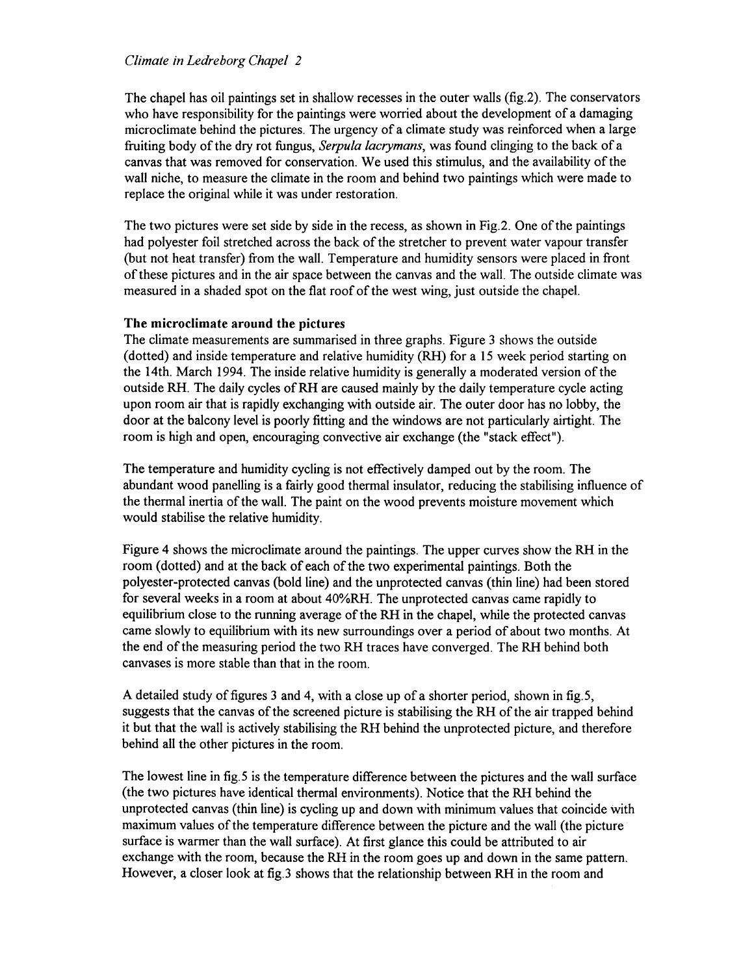#### Climate in Ledreborg Chapel 2

The chapel has oil paintings set in shallow recesses in the outer walls (fig.2). The conservators who have responsibility for the paintings were worried about the development of a damaging microclimate behind the pictures. The urgency of a climate study was reinforced when a large fruiting body of the dry rot fungus, Serpula lacrymans, was found clinging to the back of a canvas that was removed for conservation. We used this stimulus, and the availability of the wall niche, to measure the climate in the room and behind two paintings which were made to replace the original while it was under restoration.

The two pictures were set side by side in the recess, as shown in Fig.2. One of the paintings had polyester foil stretched across the back of the stretcher to prevent water vapour transfer (but not heat transfer) from the wall. Temperature and humidity sensors were placed in front of these pictures and in the air space between the canvas and the wall. The outside climate was measured in a shaded spot on the flat roof of the west wing, just outside the chapel.

#### The microclimate around the pictures

The climate measurements are summarised in three graphs. Figure 3 shows the outside (dotted) and inside temperature and relative humidity (RH) for a 15 week period starting on the 14th. March 1994. The inside relative humidity is generally a moderated version of the outside RH. The daily cycles of RH are caused mainly by the daily temperature cycle acting upon room air that is rapidly exchanging with outside air. The outer door has no lobby, the door at the balcony level is poorly fitting and the windows are not particularly airtight. The room is high and open, encouraging convective air exchange (the "stack effect").

The temperature and humidity cycling is not effectively damped out by the room. The abundant wood panelling is a fairly good thermal insulator, reducing the stabilising influence of the thermal inertia of the wall. The paint on the wood prevents moisture movement which would stabilise the relative humidity.

Figure 4 shows the microclimate around the paintings. The upper curves show the RH in the room (dotted) and at the back of each of the two experimental paintings. Both the polyester-protected canvas (bold line) and the unprotected canvas (thin line) had been stored for several weeks in a room at about 40%RH. The unprotected canvas came rapidly to equilibrium close to the running average of the RH in the chapel, while the protected canvas came slowly to equilibrium with its new surroundings over a period of about two months. At the end of the measuring period the two RH traces have converged. The RH behind both canvases is more stable than that in the room.

A detailed study of figures 3 and 4, with a close up of a shorter period, shown in fig.5, suggests that the canvas of the screened picture is stabilising the RH of the air trapped behind it but that the wall is actively stabilising the RH behind the unprotected picture, and therefore behind all the other pictures in the room.

The lowest line in fig.5 is the temperature difference between the pictures and the wall surface (the two pictures have identical thermal environments). Notice that the RH behind the unprotected canvas (thin line) is cycling up and down with minimum values that coincide with maximum values of the temperature difference between the picture and the wall (the picture surface is warmer than the wall surface). At first glance this could be attributed to air exchange with the room, because the RH in the room goes up and down in the same pattern. However, a closer look at fig.3 shows that the relationship between RH in the room and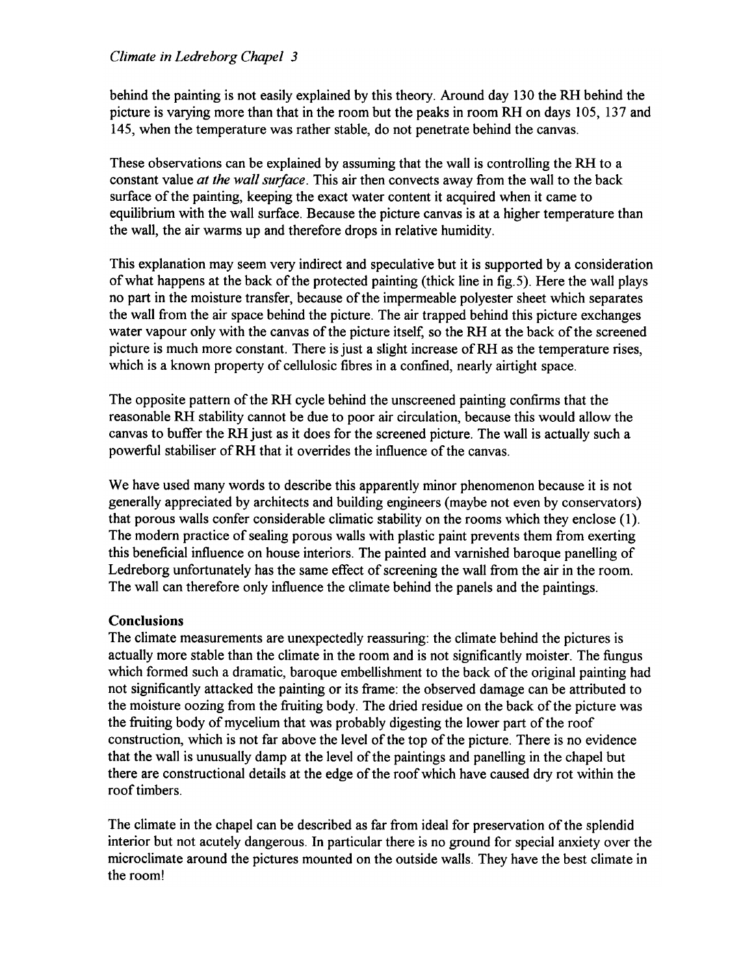### Climate in Ledreborg Chapel 3

behind the painting is not easily explained by this theory. Around day 130 the RH behind the picture is varying more than that in the room but the peaks in room RH on days 105, 137 and 145, when the temperature was rather stable, do not penetrate behind the canvas.

These observations can be explained by assuming that the wall is controlling the RH to a constant value at the wall surface. This air then convects away from the wall to the back surface of the painting, keeping the exact water content it acquired when it came to equilibrium with the wall surface. Because the picture canvas is at a higher temperature than the wall, the air warms up and therefore drops in relative humidity.

This explanation may seem very indirect and speculative but it is supported by a consideration of what happens at the back of the protected painting (thick line in fig. 5). Here the wall plays no part in the moisture transfer, because of the impermeable polyester sheet which separates the wall from the air space behind the picture. The air trapped behind this picture exchanges water vapour only with the canvas of the picture itself, so the RH at the back of the screened picture is much more constant. There is just a slight increase of RH as the temperature rises, which is a known property of cellulosic fibres in a confined, nearly airtight space.

The opposite pattern of the RH cycle behind the unscreened painting confirms that the reasonable RH stability cannot be due to poor air circulation, because this would allow the canvas to buffer the RH just as it does for the screened picture. The wall is actually such a powerful stabiliser of RH that it overrides the influence of the canvas.

We have used many words to describe this apparently minor phenomenon because it is not generally appreciated by architects and building engineers (maybe not even by conservators) that porous walls confer considerable climatic stability on the rooms which they enclose (1). The modern practice of sealing porous walls with plastic paint prevents them from exerting this beneficial influence on house interiors. The painted and varnished baroque panelling of Ledreborg unfortunately has the same effect of screening the wall from the air in the room. The wall can therefore only influence the climate behind the panels and the paintings.

## **Conclusions**

The climate measurements are unexpectedly reassuring: the climate behind the pictures is actually more stable than the climate in the room and is not significantly moister. The fungus which formed such a dramatic, baroque embellishment to the back of the original painting had not significantly attacked the painting or its frame: the observed damage can be attributed to the moisture oozing from the fruiting body. The dried residue on the back of the picture was the fruiting body of mycelium that was probably digesting the lower part of the roof construction, which is not far above the level of the top of the picture. There is no evidence that the wall is unusually damp at the level of the paintings and panelling in the chapel but there are constructional details at the edge of the roof which have caused dry rot within the roof timbers.

The climate in the chapel can be described as far from ideal for preservation of the splendid interior but not acutely dangerous. In particular there is no ground for special anxiety over the microclimate around the pictures mounted on the outside walls. They have the best climate in the room!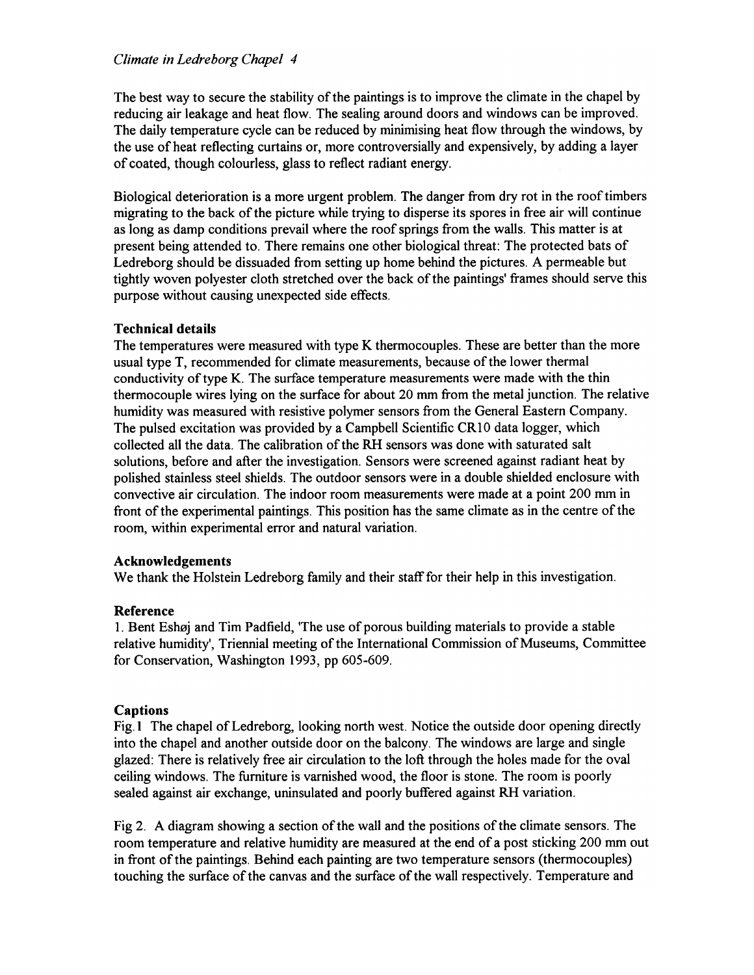#### Climate in Ledreborg Chapel 4

The best way to secure the stability of the paintings is to improve the climate in the chapel by reducing air leakage and heat flow. The sealing around doors and windows can be improved. The daily temperature cycle can be reduced by minimising heat flow through the windows, by the use of heat reflecting curtains or, more controversially and expensively, by adding a layer of coated, though colourless, glass to reflect radiant energy.

Biological deterioration is a more urgent problem. The danger from dry rot in the roof timbers migrating to the back of the picture while trying to disperse its spores in free air will continue as long as damp conditions prevail where the roof springs from the walls. This matter is at present being attended to. There remains one other biological threat: The protected bats of Ledreborg should be dissuaded from setting up home behind the pictures. A permeable but tightly woven polyester cloth stretched over the back of the paintings' frames should serve this purpose without causing unexpected side effects.

#### **Technical details**

The temperatures were measured with type K thermocouples. These are better than the more usual type T, recommended for climate measurements, because of the lower thermal conductivity of type K. The surface temperature measurements were made with the thin thermocouple wires lying on the surface for about 20 mm from the metal junction. The relative humidity was measured with resistive polymer sensors from the General Eastern Company. The pulsed excitation was provided by a Campbell Scientific CR10 data logger, which collected all the data. The calibration of the RH sensors was done with saturated salt solutions, before and after the investigation. Sensors were screened against radiant heat by polished stainless steel shields. The outdoor sensors were in a double shielded enclosure with convective air circulation. The indoor room measurements were made at a point 200 mm in front of the experimental paintings. This position has the same climate as in the centre of the room, within experimental error and natural variation.

#### **Acknowledgements**

We thank the Holstein Ledreborg family and their staff for their help in this investigation.

#### Reference

1. Bent Eshøj and Tim Padfield, 'The use of porous building materials to provide a stable relative humidity', Triennial meeting of the International Commission of Museums, Committee for Conservation, Washington 1993, pp 605-609.

## **Captions**

Fig.1 The chapel of Ledreborg, looking north west. Notice the outside door opening directly into the chapel and another outside door on the balcony. The windows are large and single glazed: There is relatively free air circulation to the loft through the holes made for the oval ceiling windows. The furniture is varnished wood, the floor is stone. The room is poorly sealed against air exchange, uninsulated and poorly buffered against RH variation.

Fig 2. A diagram showing a section of the wall and the positions of the climate sensors. The room temperature and relative humidity are measured at the end of a post sticking 200 mm out in front of the paintings. Behind each painting are two temperature sensors (thermocouples) touching the surface of the canvas and the surface of the wall respectively. Temperature and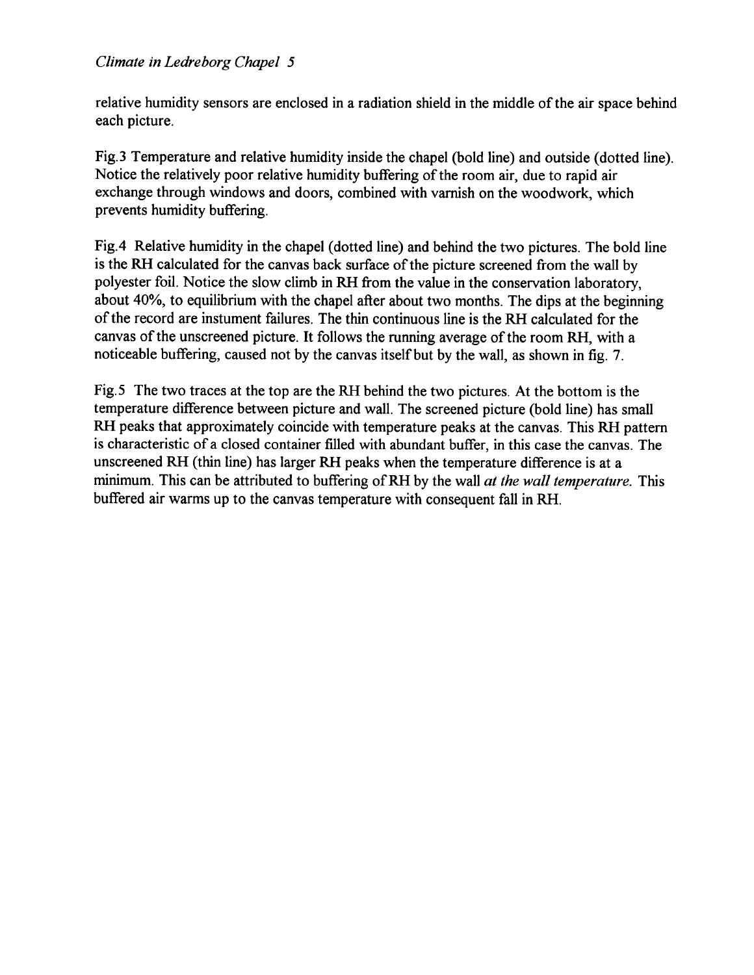relative humidity sensors are enclosed in a radiation shield in the middle of the air space behind each picture.

Fig. 3 Temperature and relative humidity inside the chapel (bold line) and outside (dotted line). Notice the relatively poor relative humidity buffering of the room air, due to rapid air exchange through windows and doors, combined with varnish on the woodwork, which prevents humidity buffering.

Fig.4 Relative humidity in the chapel (dotted line) and behind the two pictures. The bold line is the RH calculated for the canvas back surface of the picture screened from the wall by polyester foil. Notice the slow climb in RH from the value in the conservation laboratory, about 40%, to equilibrium with the chapel after about two months. The dips at the beginning of the record are instument failures. The thin continuous line is the RH calculated for the canvas of the unscreened picture. It follows the running average of the room RH, with a noticeable buffering, caused not by the canvas itself but by the wall, as shown in fig. 7.

Fig.5 The two traces at the top are the RH behind the two pictures. At the bottom is the temperature difference between picture and wall. The screened picture (bold line) has small RH peaks that approximately coincide with temperature peaks at the canvas. This RH pattern is characteristic of a closed container filled with abundant buffer, in this case the canvas. The unscreened RH (thin line) has larger RH peaks when the temperature difference is at a minimum. This can be attributed to buffering of RH by the wall at the wall temperature. This buffered air warms up to the canvas temperature with consequent fall in RH.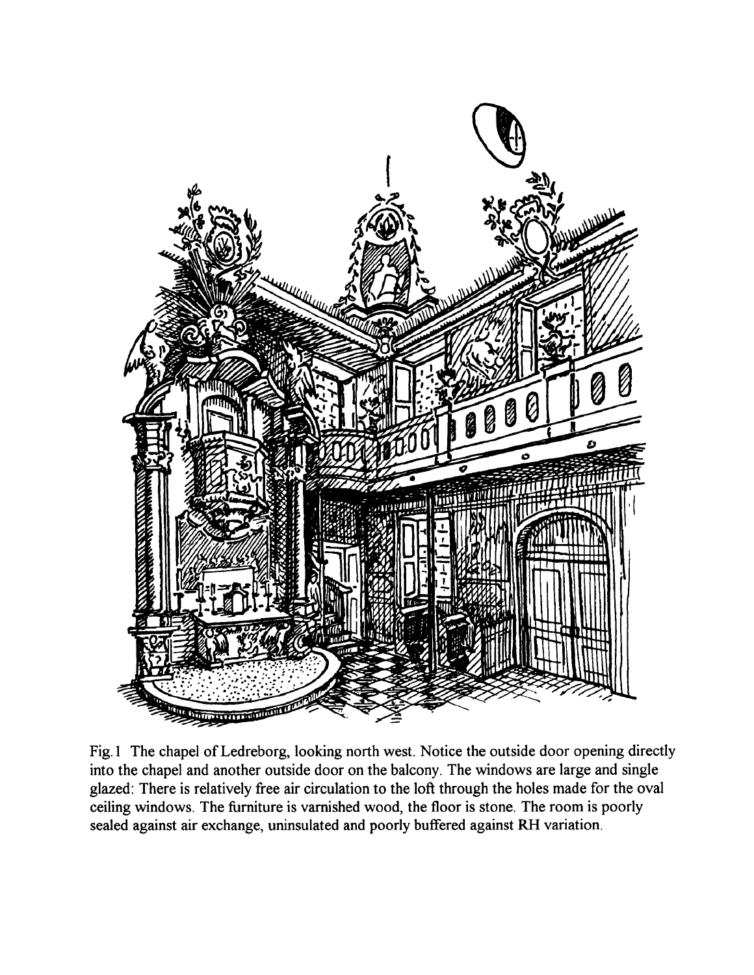

Fig.1 The chapel of Ledreborg, looking north west. Notice the outside door opening directly into the chapel and another outside door on the balcony. The windows are large and single glazed: There is relatively free air circulation to the loft through the holes made for the oval ceiling windows. The furniture is varnished wood, the floor is stone. The room is poorly sealed against air exchange, uninsulated and poorly buffered against RH variation.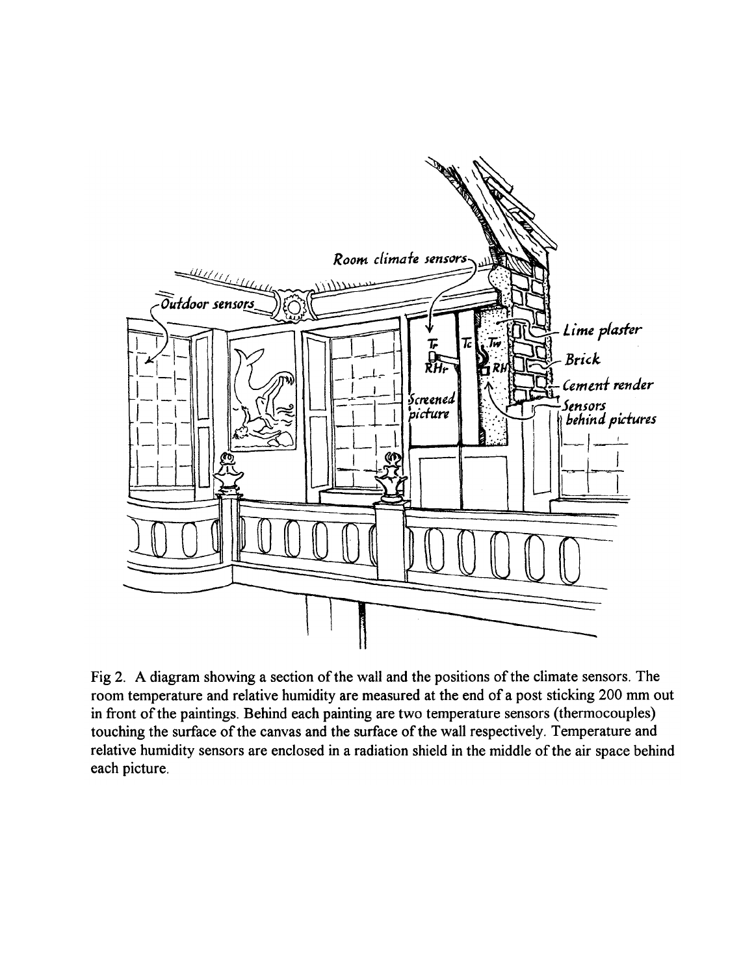

Fig 2. A diagram showing a section of the wall and the positions of the climate sensors. The room temperature and relative humidity are measured at the end of a post sticking 200 mm out in front of the paintings. Behind each painting are two temperature sensors (thermocouples) touching the surface of the canvas and the surface of the wall respectively. Temperature and relative humidity sensors are enclosed in a radiation shield in the middle of the air space behind each picture.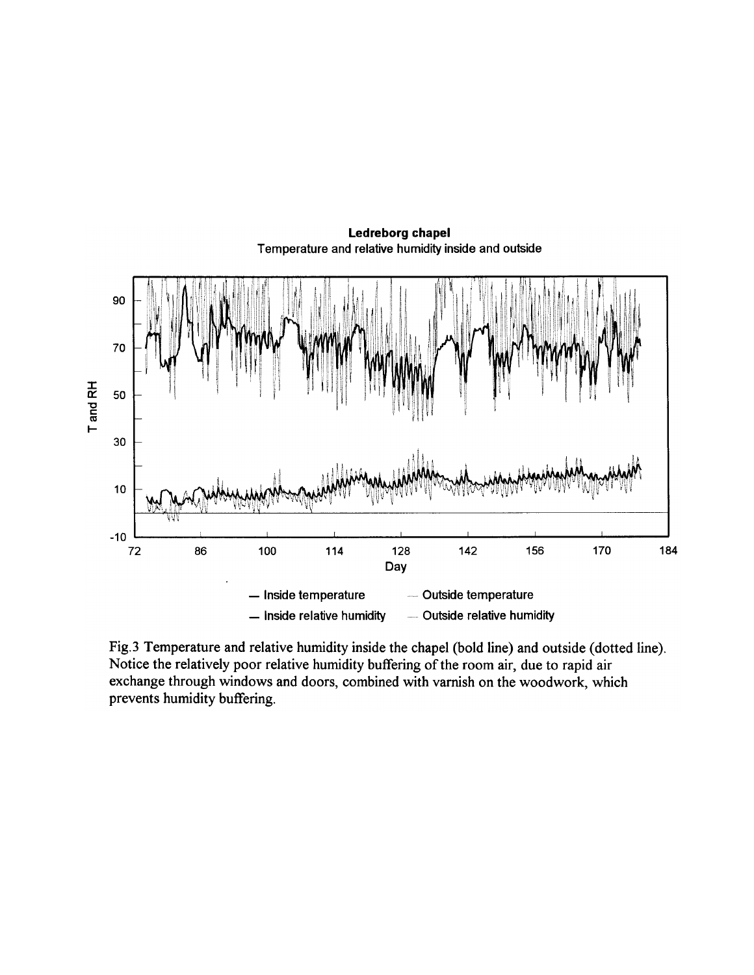

Ledreborg chapel Temperature and relative humidity inside and outside

Fig.3 Temperature and relative humidity inside the chapel (bold line) and outside (dotted line). Notice the relatively poor relative humidity buffering of the room air, due to rapid air exchange through windows and doors, combined with varnish on the woodwork, which prevents humidity buffering.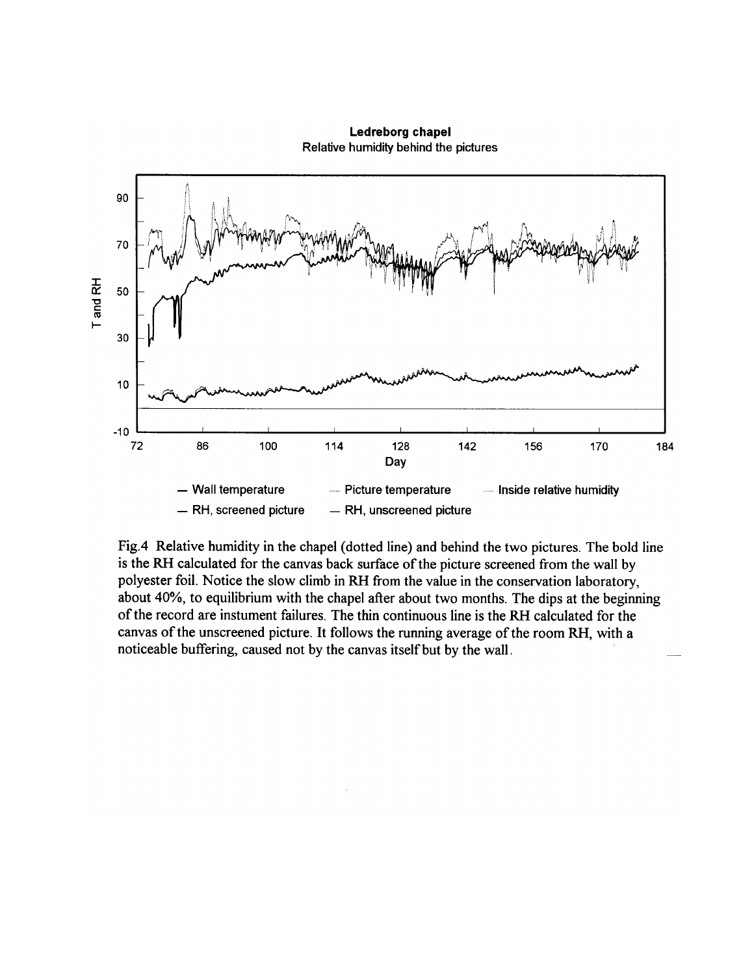Ledreborg chapel Relative humidity behind the pictures



Fig.4 Relative humidity in the chapel (dotted line) and behind the two pictures. The bold line is the RH calculated for the canvas back surface of the picture screened from the wall by polyester foil. Notice the slow climb in RH from the value in the conservation laboratory, about 40%, to equilibrium with the chapel after about two months. The dips at the beginning of the record are instument failures. The thin continuous line is the RH calculated for the canvas of the unscreened picture. It follows the running average of the room RH, with a noticeable buffering, caused not by the canvas itself but by the wall.